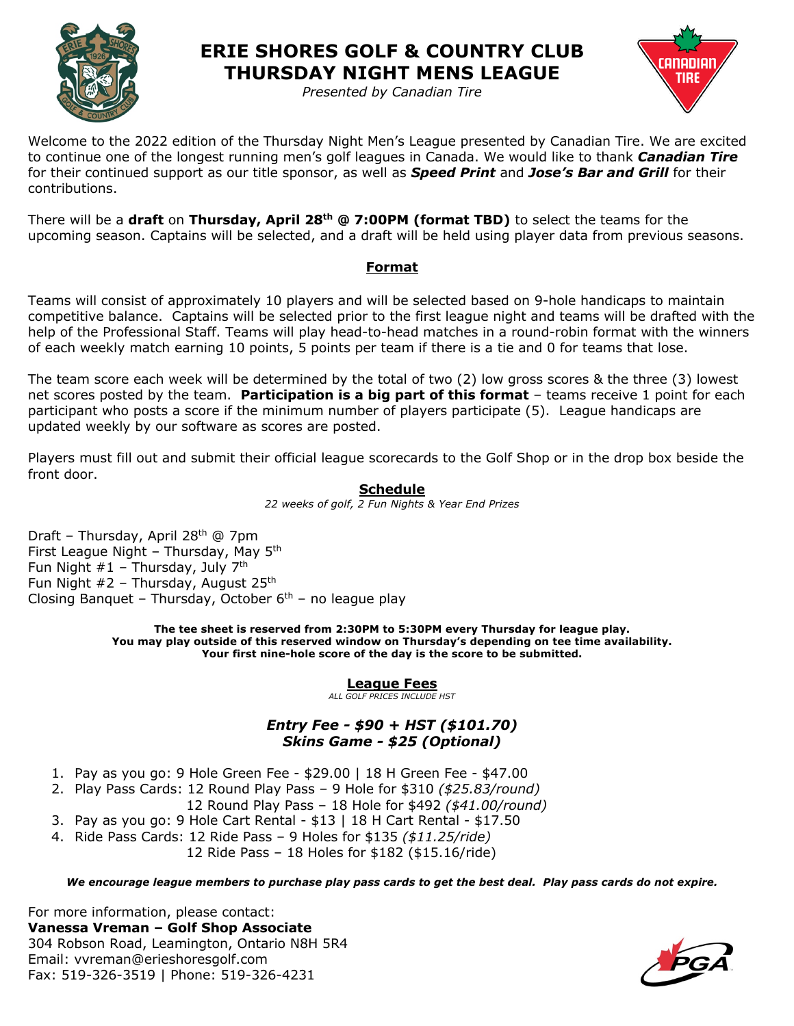

## **ERIE SHORES GOLF & COUNTRY CLUB THURSDAY NIGHT MENS LEAGUE**

*Presented by Canadian Tire*



Welcome to the 2022 edition of the Thursday Night Men's League presented by Canadian Tire. We are excited to continue one of the longest running men's golf leagues in Canada. We would like to thank *Canadian Tire* for their continued support as our title sponsor, as well as *Speed Print* and *Jose's Bar and Grill* for their contributions.

There will be a **draft** on **Thursday, April 28th @ 7:00PM (format TBD)** to select the teams for the upcoming season. Captains will be selected, and a draft will be held using player data from previous seasons.

#### **Format**

Teams will consist of approximately 10 players and will be selected based on 9-hole handicaps to maintain competitive balance. Captains will be selected prior to the first league night and teams will be drafted with the help of the Professional Staff. Teams will play head-to-head matches in a round-robin format with the winners of each weekly match earning 10 points, 5 points per team if there is a tie and 0 for teams that lose.

The team score each week will be determined by the total of two (2) low gross scores & the three (3) lowest net scores posted by the team. **Participation is a big part of this format** – teams receive 1 point for each participant who posts a score if the minimum number of players participate (5). League handicaps are updated weekly by our software as scores are posted.

Players must fill out and submit their official league scorecards to the Golf Shop or in the drop box beside the front door.

#### **Schedule**

*22 weeks of golf, 2 Fun Nights & Year End Prizes*

Draft – Thursday, April 28th @ 7pm First League Night - Thursday, May 5<sup>th</sup> Fun Night  $#1$  – Thursday, July  $7<sup>th</sup>$ Fun Night  $#2$  – Thursday, August 25<sup>th</sup> Closing Banquet – Thursday, October  $6<sup>th</sup>$  – no league play

> **The tee sheet is reserved from 2:30PM to 5:30PM every Thursday for league play. You may play outside of this reserved window on Thursday's depending on tee time availability. Your first nine-hole score of the day is the score to be submitted.**

> > **League Fees** *ALL GOLF PRICES INCLUDE HST*

*Entry Fee - \$90 + HST (\$101.70) Skins Game - \$25 (Optional)*

1. Pay as you go: 9 Hole Green Fee - \$29.00 | 18 H Green Fee - \$47.00

2. Play Pass Cards: 12 Round Play Pass – 9 Hole for \$310 *(\$25.83/round)*

12 Round Play Pass – 18 Hole for \$492 *(\$41.00/round)*

- 3. Pay as you go: 9 Hole Cart Rental \$13 | 18 H Cart Rental \$17.50
- 4. Ride Pass Cards: 12 Ride Pass 9 Holes for \$135 *(\$11.25/ride)* 12 Ride Pass – 18 Holes for \$182 (\$15.16/ride)

*We encourage league members to purchase play pass cards to get the best deal. Play pass cards do not expire.*

For more information, please contact: **Vanessa Vreman – Golf Shop Associate** 304 Robson Road, Leamington, Ontario N8H 5R4 Email: vvreman@erieshoresgolf.com Fax: 519-326-3519 | Phone: 519-326-4231